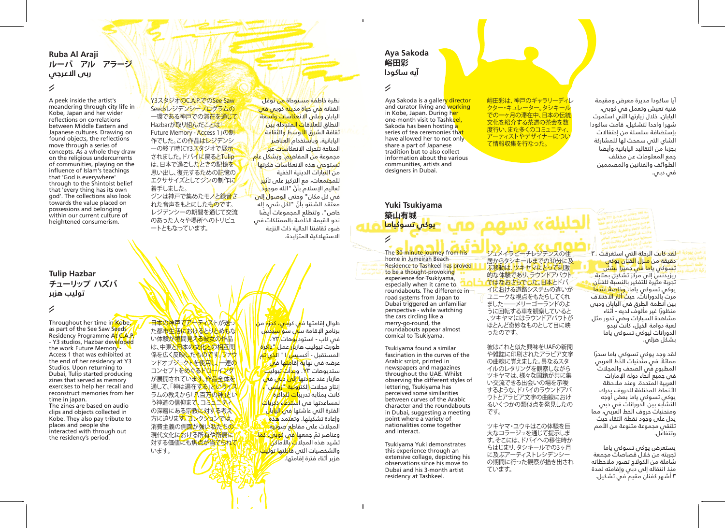## **Ruba Al Araji ルーバ アル アラージ ربى الاعرجي**

# 1

A peek inside the artist's meandering through city life in Kobe, Japan and her wider reflections on correlations between Middle Eastern and Japanese cultures. Drawing on found objects, the reflections move through a series of concepts. As a whole they draw on the religious undercurrents of communities, playing on the influence of Islam's teachings that 'God is everywhere' through to the Shintoist belief that 'every thing has its own god'. The collections also look towards the value placed on possessions and belonging within our current culture of heightened consumerism.

Y3スタジオのC.A.P.でのSee Saw Seedsレジデンシープログラムの 一環である神戸での滞在を通じて Hazbarが取り組んだことは「 Future Memory - Access 1」の制 作でした。この作品はレジデンシ ーの終了時にY3スタジオで展示 されました。ドバイに戻るとTulip は、日本で過ごしたときの記憶を 思い出し、復元するための記憶の エクササイズとしてジンの制作に 着手しました。 ジンは神戸で集めたモノと緑音さ れた音声をもとにしたものです。 レジデンシーの期間を通じて交流 のあった人々や場所へのトリビュ ートともなっています。

نظرة خ<mark>اطفة مستو</mark>حاة <mark>من توغل</mark> الفنانة <mark>ف</mark>ي حياة مدينة كوبي في اليابان وعلى الانعكاسات واسعة النطاق للعلاقا<mark>ت المتبادلة بين</mark> ثقافة الشرق <mark>الأوسط والثقافة</mark> اليابانية. وباستخدام <mark>العناصر</mark> المتاحة تتحرك الانعكاسات عبر مجموعة من المفاه<mark>يم. وبشك</mark>ل ع<mark>ام</mark> تستوحي هذه الانعكاسات فكرتها<mark>.</mark> من التيارات الدينية الخفية للمجتمعات، مع التركيز على تأث<mark>يل</mark> تع<mark>ا</mark>ليم الإسلام بأنّ "الله موج<mark>ود</mark> .<br>في كل مكان" وحتى الوصول إل<del>ى</del> ّ معتقد الشنتو بأن "لكل شيء إله خاص". وتتطلع المجموعات أيضً ا نحو القيمة الخاصة بالممتلكات في ضوء ثقافتنا الحالية ذات النزعة الاستهلاكية المتزايدة.

# **Tulip Hazbar チューリップ ハズバ توليب هزبر**

#### 1

Throughout her time in Kobe, as part of the See Saw Seeds Residency Programme At C.A.P. - Y3 studios, Hazbar developed the work Future Memory - Access 1 that was exhibited at the end of her residency at Y3 Studios. Upon returning to Dubai, Tulip started producing zines that served as memory exercises to help her recall and reconstruct memories from her time in japan. The zines are based on audio clips and objects collected in

Kobe. They also pay tribute to places and people she interacted with through out the residency's period.

日本の神戸でアーティストが送っ た都市生活におけるとりとめもな い体験が垣間見える彼女の作品 は、中東と日本の文化との相互関 係を広く反映したものです。ファウ ンドオブジェクトを使用し 一連の コンセプトをめぐるドローイング が展開されています。作品全体を 通して、「神は遍在する」というイス ラムの教えから「八百万の神」とい う神道の信仰まで、コミュニティ の深層にある宗教に対する考え 方に迫ります。コレクションでは、 消費主義の側面が強い私たちの 現代文化における所有や所属に 対する価値にも焦点が当てられて います。

طوال إقامتها ف<mark>ي</mark> كو<mark>نين، كجزء</mark> من برنامج الإقامة س<mark>ي</mark> سيدس في كاب - استود<mark>يو</mark>هات *٢٣*، طورت تيوليب هازل<mark>ا/</mark> عما <sup>إل</sup>تذاك<sup>ا</sup>ه المستقبل - أكسي<mark>س)</mark> ا" ا<mark>لذي تم</mark> عرضه في نهاية إقا<mark>مت</mark>ها ف<mark>ي</mark> ستديوهات X۳. وب**دأت ت**يوليب هازبار عند عو<mark>دتها إلى</mark> د<mark>بي</mark> في .<br>إنتاج مجلات <mark>إ</mark>لكترونية "ز<mark>ين</mark>س" .<br>كانت بمثابة تدريبات للذاكرة لمساعدتها في ا<mark>ستدعاء ذكرياتًا</mark> الفترة التي عاشتها <mark>في اليا</mark>با<mark>ن</mark> وإعادة تشكيلها. وتعتمد هذه المجلات على مقاطع صو<mark>تية</mark> وعناصر تمّ جمعها <mark>في</mark> كوبي. كما تشيد هذه المجلات بالأماكن والشخصيات التي قا<mark>ب</mark>لتها تول<mark>يل</mark>ا هزبر أثناء فترة إقامتها.

# **Aya Sakoda 峪田彩 آيه ساكودا**

# $\overline{\mathscr{C}}$

Aya Sakoda is a gallery director and curator living and working in Kobe, Japan. During her one-month visit to Tashkeel, Sakoda has been hosting a series of tea ceremonies that have allowed her to not only share a part of Japanese tradition but to also collect information about the various communities, artists and designers in Dubai.

## **Yuki Tsukiyama 築山有城 يوكي تسوكياما**

1

The 30-minute journey from his home in Jumeirah Beach Residence to Tashkeel has proved to be a thought-provoking experience for Tsukiyama, especially when it came to roundabouts. The difference in road systems from Japan to Dubai triggered an unfamiliar perspective - while watching the cars circling like a merry-go-round, the

roundabouts appear almost comical to Tsukiyama.

Tsukiyama found a similar fascination in the curves of the Arabic script, printed in newspapers and magazines throughout the UAE. Whilst observing the different styles of lettering, Tsukiyama has perceived some similarities between curves of the Arabic character and the roundabouts in Dubai, suggesting a meeting point where a variety of nationalities come together and interact.

Tsukiyama Yuki demonstrates this experience through an extensive collage, depicting his observations since his move to Dubai and his 3-month artist residency at Tashkeel.

峪田彩は、神戸のギャラリーディレ クター・キュレーター。タシキール アの一ヶ月の滞在中、日本の伝統 文化を紹介する茶道の茶会を数 度行い、また多くのコミュニティ、 アーティストやデザイナーについ て情報収集を行なった。

ジュメイラビーチレジデンスの住 居からタシキールまでの30分に及 <mark>ふ移動は、ツキヤマにとって刺</mark>激 的な体験であり、ラウンドアバウト ではなおさらでした。日本とドバ イにおける道路システムの違いが ユニークな視点をもたらしてくれ ました――メリーゴーランドのよ うに回転する車を観察していると 、ツキヤマにはラウンドアバウトが ほとんど奇妙なものとして目に映

الجليلة» تسهم

彼はこれと似た興味をUAEの新聞 や雑誌に印刷されたアラビア文字 の曲線に覚えました。異なるスタ イルのレタリングを観察しながら ツキヤマは、様々な国籍が共に集 い交流できる出会いの場を示唆 するような、ドバイのラウンドアバ ウトとアラビア文字の曲線におけ - ^ ^ こんこんです。 ニット・ニック

ツキヤマ・ユウキはこの体験を巨 大なコラージュを通じて提示しま す。そこには、ドバイへの移住時か らはじまり、タシキールでの3ヶ月 に及ぶアーティストレシデンシー の期間に行った観察が描き出され

ったのです。

です。

ています。

آيا ساكودا مديرة معرض ومقيمة فنية تعيش وتعمل في كوبي، اليابان. خلال زيارتها التي استمرت شهرا واحدا لتشكيل، قامت ساكودا بإستضافة سلسلة من إحتفالات الشاي التي سمحت لها للمشاركة بجزءا من التقاليد اليابانية وأيضا جمع المعلومات عن مختلف الطوائف والفنانين والمصممين في دبي.

لق<mark>د كانت الرحلة التي استغرقت</mark> ٣٠ دقيقة من منزل الفنان يوكي

تسوكي ياما في جميرا بيتش ريزيدنس إلى مركز تشكيل بمثابة يجب<br>تجربة مثيرة للتفكير بالنسبة للفنان ي.<br>يوكي تسوكي ياما، <mark>وخاصةً عندما</mark> مرت بالدورانات. حيث أثار الاختلاف بين أنظمة الطرق في اليابان ودبي ً منظورا غير مألوف لديه - أثناء مشاهدة السيارات وهي تدور مثل لعبة دوامة الخيل، كانت تبدو الدورانات ليوكي تسوكي ياما بشكل هزلي.

ً لقد وجد يوكي تسوكي ياما سحرا ً مماثلا في منحنيات الخط العربي المطبوع في الصَّحف والمجلاّت في جميع أنحاء دولة الإمارات العربية المتحدة. وعند ملاحظة الأنماط المختلفة للحروف يدرك يوكي تسوكي ياما بعض أوجه التشابه بين الدورانات في دبي ومنحنيات حروف الخط العربي، مما يدل على وجود نقطة التقاء حيث تلتقي مجموعة متنوعة من الأمم وتتفاعل.

يستعرض يوكي تسوكي ياما تجربته من خلال قصاصات مجمعة شاملة من الكولاج تصور ملاحظاته منذ انتقاله إلى دبي وإقامته لمدة ٣ أشهر كفنان مقيم في تشكيل.